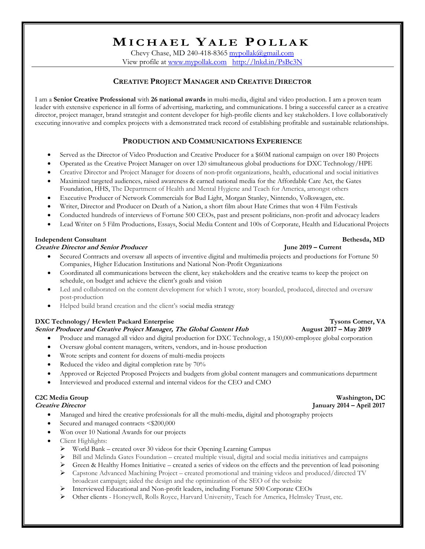# **MI C H A E L YA L E P O L L A K**

Chevy Chase, MD 240-418-8365 [mypollak@gmail.com](mailto:mypollak@gmail.com) View profile at [www.mypollak.com](http://www.mypollak.com/) <http://lnkd.in/PsBc3N>

## **CREATIVE PROJECT MANAGER AND CREATIVE DIRECTOR**

I am a **Senior Creative Professional** with **26 national awards** in multi-media, digital and video production. I am a proven team leader with extensive experience in all forms of advertising, marketing, and communications. I bring a successful career as a creative director, project manager, brand strategist and content developer for high-profile clients and key stakeholders. I love collaboratively executing innovative and complex projects with a demonstrated track record of establishing profitable and sustainable relationships.

### **PRODUCTION AND COMMUNICATIONS EXPERIENCE**

- Served as the Director of Video Production and Creative Producer for a \$60M national campaign on over 180 Projects
- Operated as the Creative Project Manager on over 120 simultaneous global productions for DXC Technology/HPE
- Creative Director and Project Manager for dozens of non-profit organizations, health, educational and social initiatives
- Maximized targeted audiences, raised awareness & earned national media for the Affordable Care Act, the Gates Foundation, HHS, The Department of Health and Mental Hygiene and Teach for America, amongst others
- Executive Producer of Network Commercials for Bud Light, Morgan Stanley, Nintendo, Volkswagen, etc.
- Writer, Director and Producer on Death of a Nation, a short film about Hate Crimes that won 4 Film Festivals
- Conducted hundreds of interviews of Fortune 500 CEOs, past and present politicians, non-profit and advocacy leaders
- Lead Writer on 5 Film Productions, Essays, Social Media Content and 100s of Corporate, Health and Educational Projects

### **Independent Consultant Bethesda, MD**

### **Creative Director and Senior Producer June 2019 – Current**

- Secured Contracts and oversaw all aspects of inventive digital and multimedia projects and productions for Fortune 50 Companies, Higher Education Institutions and National Non-Profit Organizations
- Coordinated all communications between the client, key stakeholders and the creative teams to keep the project on schedule, on budget and achieve the client's goals and vision
- Led and collaborated on the content development for which I wrote, story boarded, produced, directed and oversaw post-production
- Helped build brand creation and the client's social media strategy

### **DXC** Technology/ **Hewlett Packard Enterprise** Tysons Corner, VA

# **Senior Producer and Creative Project Manager, The Global Content Hub August 2017 – May 2019**

- Produce and managed all video and digital production for DXC Technology, a 150,000-employee global corporation
- Oversaw global content managers, writers, vendors, and in-house production
- Wrote scripts and content for dozens of multi-media projects
- Reduced the video and digital completion rate by 70%
- Approved or Rejected Proposed Projects and budgets from global content managers and communications department
- Interviewed and produced external and internal videos for the CEO and CMO

### **C2C Media Group Washington, DC**

- Managed and hired the creative professionals for all the multi-media, digital and photography projects
- Secured and managed contracts <\$200,000
- Won over 10 National Awards for our projects
- Client Highlights:
	- ➢ World Bank created over 30 videos for their Opening Learning Campus
	- ➢ Bill and Melinda Gates Foundation created multiple visual, digital and social media initiatives and campaigns
	- $\triangleright$  Green & Healthy Homes Initiative created a series of videos on the effects and the prevention of lead poisoning
	- ➢ Capstone Advanced Machining Project created promotional and training videos and produced/directed TV broadcast campaign; aided the design and the optimization of the SEO of the website
	- ➢ Interviewed Educational and Non-profit leaders, including Fortune 500 Corporate CEOs
	- ➢ Other clients Honeywell, Rolls Royce, Harvard University, Teach for America, Helmsley Trust, etc.

# **Creative Director January 2014 – April 2017**